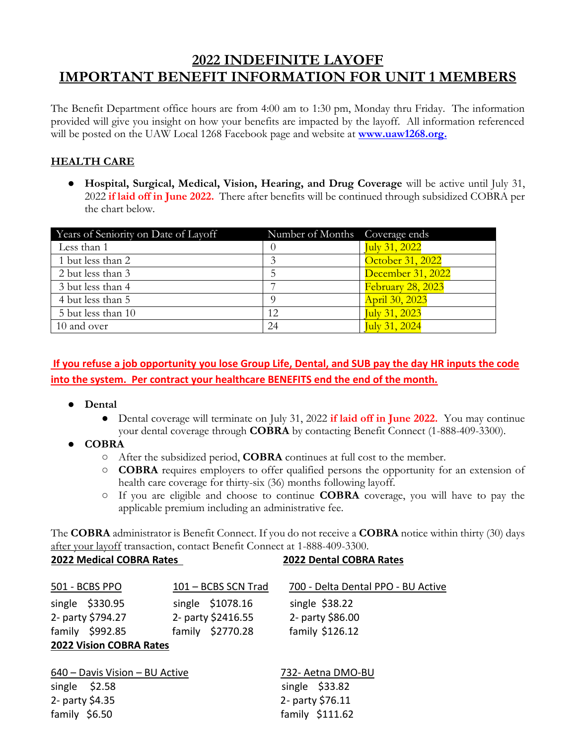# **2022 INDEFINITE LAYOFF IMPORTANT BENEFIT INFORMATION FOR UNIT 1 MEMBERS**

The Benefit Department office hours are from 4:00 am to 1:30 pm, Monday thru Friday. The information provided will give you insight on how your benefits are impacted by the layoff. All information referenced will be posted on the UAW Local 1268 Facebook page and website at **[www.uaw1268.org.](http://www.uaw1268.org/)**

#### **HEALTH CARE**

● **Hospital, Surgical, Medical, Vision, Hearing, and Drug Coverage** will be active until July 31, 2022 **if laid off in June 2022.** There after benefits will be continued through subsidized COBRA per the chart below.

| Years of Seniority on Date of Layoff | Number of Months Coverage ends |                   |
|--------------------------------------|--------------------------------|-------------------|
| Less than 1                          |                                | July 31, 2022     |
| 1 but less than 2                    |                                | October 31, 2022  |
| 2 but less than 3                    |                                | December 31, 2022 |
| 3 but less than 4                    |                                | February 28, 2023 |
| 4 but less than 5                    |                                | April 30, 2023    |
| 5 but less than 10                   | 12                             | July 31, 2023     |
| 10 and over                          | 24                             | July 31, 2024     |

## **If you refuse a job opportunity you lose Group Life, Dental, and SUB pay the day HR inputs the code into the system. Per contract your healthcare BENEFITS end the end of the month.**

- **Dental** 
	- Dental coverage will terminate on July 31, 2022 **if laid off in June 2022.** You may continue your dental coverage through **COBRA** by contacting Benefit Connect (1-888-409-3300).
- **COBRA**
	- After the subsidized period, **COBRA** continues at full cost to the member.
	- **COBRA** requires employers to offer qualified persons the opportunity for an extension of health care coverage for thirty-six (36) months following layoff.
	- If you are eligible and choose to continue **COBRA** coverage, you will have to pay the applicable premium including an administrative fee.

The **COBRA** administrator is Benefit Connect. If you do not receive a **COBRA** notice within thirty (30) days after your layoff transaction, contact Benefit Connect at 1-888-409-3300. **2022 Medical COBRA Rates 2022 Dental COBRA Rates**

| 501 - BCBS PPO                 | 101 - BCBS SCN Trad | 700 - Delta Dental PPO - BU Active |
|--------------------------------|---------------------|------------------------------------|
| single \$330.95                | single \$1078.16    | single $$38.22$                    |
| 2- party \$794.27              | 2- party \$2416.55  | 2- party \$86.00                   |
| family \$992.85                | family \$2770.28    | family \$126.12                    |
| <b>2022 Vision COBRA Rates</b> |                     |                                    |
|                                |                     |                                    |

| 640 - Davis Vision - BU Active | 732- Aetna DMO-BU |
|--------------------------------|-------------------|
| single $$2.58$                 | single $$33.82$   |
| 2- party \$4.35                | 2- party \$76.11  |
| family \$6.50                  | family $$111.62$  |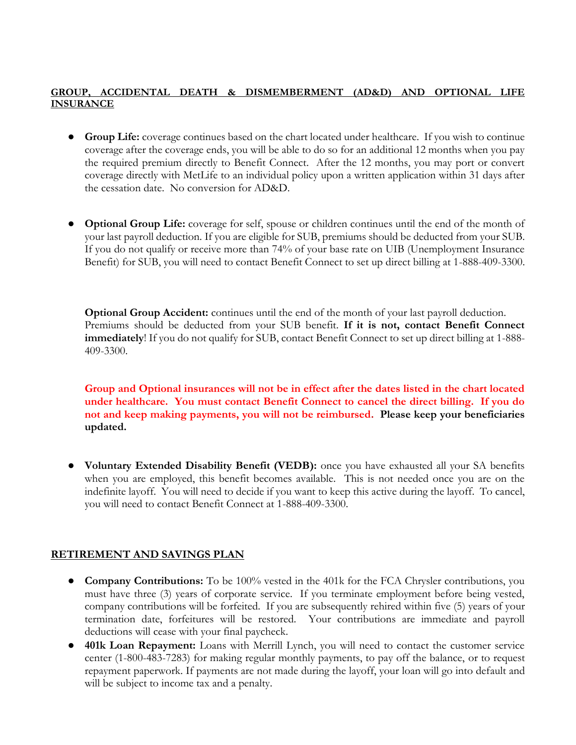#### **GROUP, ACCIDENTAL DEATH & DISMEMBERMENT (AD&D) AND OPTIONAL LIFE INSURANCE**

- **Group Life:** coverage continues based on the chart located under healthcare. If you wish to continue coverage after the coverage ends, you will be able to do so for an additional 12 months when you pay the required premium directly to Benefit Connect. After the 12 months, you may port or convert coverage directly with MetLife to an individual policy upon a written application within 31 days after the cessation date. No conversion for AD&D.
- **Optional Group Life:** coverage for self, spouse or children continues until the end of the month of your last payroll deduction. If you are eligible for SUB, premiums should be deducted from your SUB. If you do not qualify or receive more than 74% of your base rate on UIB (Unemployment Insurance Benefit) for SUB, you will need to contact Benefit Connect to set up direct billing at 1-888-409-3300.

**Optional Group Accident:** continues until the end of the month of your last payroll deduction. Premiums should be deducted from your SUB benefit. **If it is not, contact Benefit Connect immediately**! If you do not qualify for SUB, contact Benefit Connect to set up direct billing at 1-888- 409-3300.

**Group and Optional insurances will not be in effect after the dates listed in the chart located under healthcare. You must contact Benefit Connect to cancel the direct billing. If you do not and keep making payments, you will not be reimbursed. Please keep your beneficiaries updated.** 

● **Voluntary Extended Disability Benefit (VEDB):** once you have exhausted all your SA benefits when you are employed, this benefit becomes available. This is not needed once you are on the indefinite layoff. You will need to decide if you want to keep this active during the layoff. To cancel, you will need to contact Benefit Connect at 1-888-409-3300.

#### **RETIREMENT AND SAVINGS PLAN**

- **Company Contributions:** To be 100% vested in the 401k for the FCA Chrysler contributions, you must have three (3) years of corporate service. If you terminate employment before being vested, company contributions will be forfeited. If you are subsequently rehired within five (5) years of your termination date, forfeitures will be restored. Your contributions are immediate and payroll deductions will cease with your final paycheck.
- **401k Loan Repayment:** Loans with Merrill Lynch, you will need to contact the customer service center (1-800-483-7283) for making regular monthly payments, to pay off the balance, or to request repayment paperwork. If payments are not made during the layoff, your loan will go into default and will be subject to income tax and a penalty.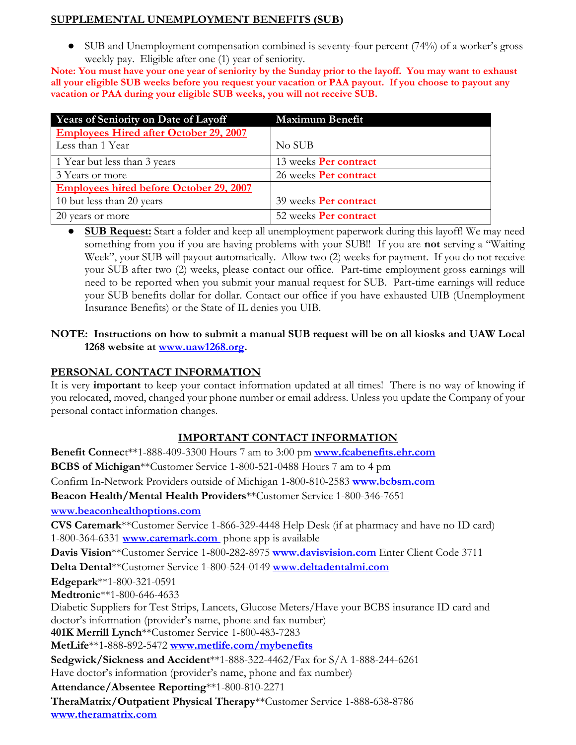#### **SUPPLEMENTAL UNEMPLOYMENT BENEFITS (SUB)**

• SUB and Unemployment compensation combined is seventy-four percent (74%) of a worker's gross weekly pay. Eligible after one (1) year of seniority.

**Note: You must have your one year of seniority by the Sunday prior to the layoff. You may want to exhaust all your eligible SUB weeks before you request your vacation or PAA payout. If you choose to payout any vacation or PAA during your eligible SUB weeks, you will not receive SUB.**

| Years of Seniority on Date of Layoff           | <b>Maximum Benefit</b> |
|------------------------------------------------|------------------------|
| <b>Employees Hired after October 29, 2007</b>  |                        |
| Less than 1 Year                               | No SUB                 |
| 1 Year but less than 3 years                   | 13 weeks Per contract  |
| 3 Years or more                                | 26 weeks Per contract  |
| <b>Employees hired before October 29, 2007</b> |                        |
| 10 but less than 20 years                      | 39 weeks Per contract  |
| 20 years or more                               | 52 weeks Per contract  |

● **SUB Request:** Start a folder and keep all unemployment paperwork during this layoff! We may need something from you if you are having problems with your SUB!! If you are **not** serving a "Waiting Week", your SUB will payout **a**utomatically. Allow two (2) weeks for payment. If you do not receive your SUB after two (2) weeks, please contact our office. Part-time employment gross earnings will need to be reported when you submit your manual request for SUB. Part-time earnings will reduce your SUB benefits dollar for dollar. Contact our office if you have exhausted UIB (Unemployment Insurance Benefits) or the State of IL denies you UIB.

#### **NOTE: Instructions on how to submit a manual SUB request will be on all kiosks and UAW Local 1268 website at [www.uaw1268.org.](http://www.uaw1268.org/)**

### **PERSONAL CONTACT INFORMATION**

It is very **important** to keep your contact information updated at all times! There is no way of knowing if you relocated, moved, changed your phone number or email address. Unless you update the Company of your personal contact information changes.

### **IMPORTANT CONTACT INFORMATION**

**Benefit Connec**t\*\*1-888-409-3300 Hours 7 am to 3:00 pm **[www.fcabenefits.ehr.com](http://www.fcabenefits.ehr.com/) BCBS of Michigan**\*\*Customer Service 1-800-521-0488 Hours 7 am to 4 pm Confirm In-Network Providers outside of Michigan 1-800-810-2583 **[www.bcbsm.com](http://www.bcbsm.com/) Beacon Health/Mental Health Providers**\*\*Customer Service 1-800-346-7651 **[www.beaconhealthoptions.com](http://www.beaconhealthoptions.com/) CVS Caremark**\*\*Customer Service 1-866-329-4448 Help Desk (if at pharmacy and have no ID card) 1-800-364-6331 **[www.caremark.com](http://www.caremark.com/)** phone app is available **Davis Vision**\*\*Customer Service 1-800-282-8975 **[www.davisvision.com](http://www.davisvision.com/)** Enter Client Code 3711 **Delta Dental**\*\*Customer Service 1-800-524-0149 **[www.deltadentalmi.com](http://www.deltadentalmi.com/) Edgepark**\*\*1-800-321-0591 **Medtronic**\*\*1-800-646-4633 Diabetic Suppliers for Test Strips, Lancets, Glucose Meters/Have your BCBS insurance ID card and doctor's information (provider's name, phone and fax number) **401K Merrill Lynch**\*\*Customer Service 1-800-483-7283 **MetLife**\*\*1-888-892-5472 **[www.metlife.com/mybenefits](http://www.metlife.com/mybenefits) Sedgwick/Sickness and Accident**\*\*1-888-322-4462/Fax for S/A 1-888-244-6261 Have doctor's information (provider's name, phone and fax number) **Attendance/Absentee Reporting**\*\*1-800-810-2271 **TheraMatrix/Outpatient Physical Therapy**\*\*Customer Service 1-888-638-8786 **[www.theramatrix.com](http://www.theramatrix.com/)**